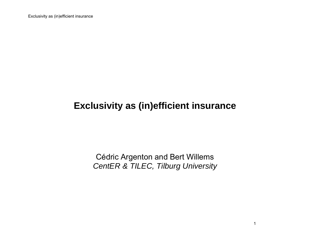Exclusivity as (in)efficient insurance

## **Exclusivity as (in)efficient insurance**

Cédric Argenton and Bert Willems *CentER & TILEC, Tilburg University*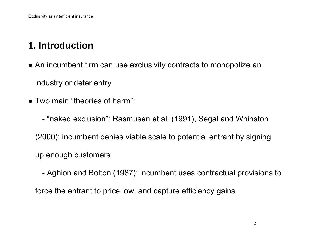# **1. Introduction**

- An incumbent firm can use exclusivity contracts to monopolize an industry or deter entry
- Two main "theories of harm":
	- "naked exclusion": Rasmusen et al. (1991), Segal and Whinston

(2000): incumbent denies viable scale to potential entrant by signing

up enough customers

 - Aghion and Bolton (1987): incumbent uses contractual provisions to force the entrant to price low, and capture efficiency gains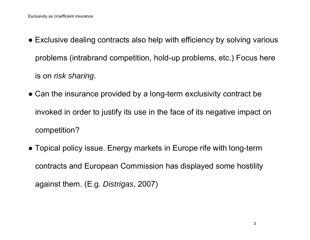- Exclusive dealing contracts also help with efficiency by solving various problems (intrabrand competition, hold-up problems, etc.) Focus here is on *risk sharing*.
- Can the insurance provided by a long-term exclusivity contract be invoked in order to justify its use in the face of its negative impact on competition?
- Topical policy issue. Energy markets in Europe rife with long-term contracts and European Commission has displayed some hostility against them. (E.g. *Distrigas*, 2007)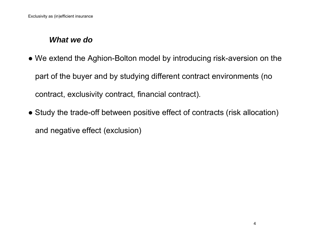#### *What we do*

- We extend the Aghion-Bolton model by introducing risk-aversion on the part of the buyer and by studying different contract environments (no contract, exclusivity contract, financial contract).
- Study the trade-off between positive effect of contracts (risk allocation) and negative effect (exclusion)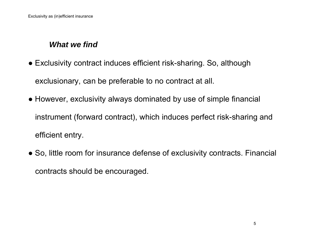### *What we find*

- Exclusivity contract induces efficient risk-sharing. So, although exclusionary, can be preferable to no contract at all.
- However, exclusivity always dominated by use of simple financial instrument (forward contract), which induces perfect risk-sharing and efficient entry.
- So, little room for insurance defense of exclusivity contracts. Financial contracts should be encouraged.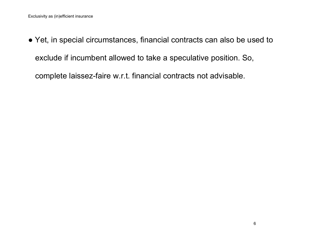● Yet, in special circumstances, financial contracts can also be used to exclude if incumbent allowed to take a speculative position. So,

complete laissez-faire w.r.t. financial contracts not advisable.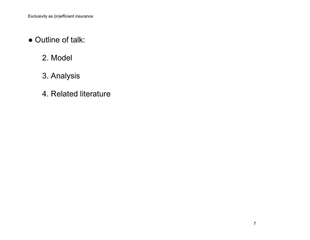- Outline of talk:
- 2. Model
	- 3. Analysis
	- 4. Related literature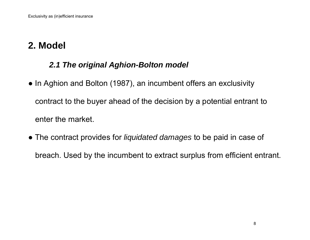# **2. Model**

### *2.1 The original Aghion-Bolton model*

- In Aghion and Bolton (1987), an incumbent offers an exclusivity contract to the buyer ahead of the decision by a potential entrant to enter the market.
- The contract provides for *liquidated damages* to be paid in case of breach. Used by the incumbent to extract surplus from efficient entrant.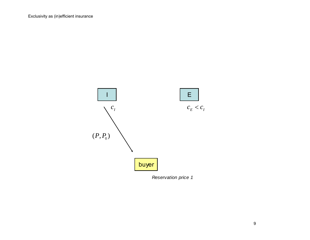

*Reservation price 1*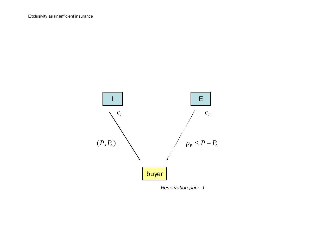

*Reservation price 1*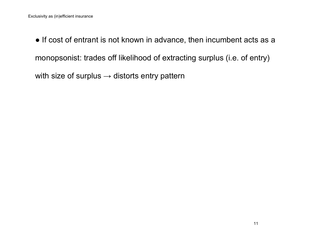● If cost of entrant is not known in advance, then incumbent acts as a monopsonist: trades off likelihood of extracting surplus (i.e. of entry) with size of surplus  $\rightarrow$  distorts entry pattern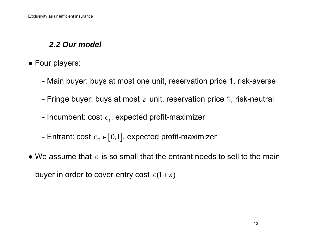### *2.2 Our model*

- Four players:
	- Main buyer: buys at most one unit, reservation price 1, risk-averse
	- Fringe buyer: buys at most  $\varepsilon$  unit, reservation price 1, risk-neutral
- Incumbent:  $\mathsf{cost}\ c_{_I},$  expected profit-maximizer
	- Entrant: cost  $c_F \in [0,1]$ , expected profit-maximizer
- We assume that  $\varepsilon$  is so small that the entrant needs to sell to the main buyer in order to cover entry cost  $\varepsilon(1+\varepsilon)$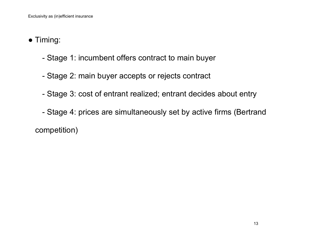- Timing:
	- Stage 1: incumbent offers contract to main buyer
	- Stage 2: main buyer accepts or rejects contract
	- Stage 3: cost of entrant realized; entrant decides about entry
	- Stage 4: prices are simultaneously set by active firms (Bertrand competition)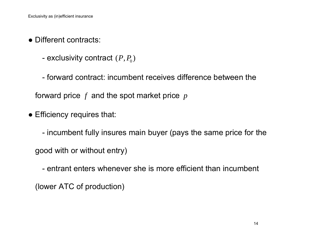- Different contracts:
- exclusivity contract  $(P, P_{\scriptscriptstyle 0})$
- forward contract: incumbent receives difference between the

forward price *f* and the spot market price *<sup>p</sup>*

• Efficiency requires that:

 - incumbent fully insures main buyer (pays the same price for the good with or without entry)

 - entrant enters whenever she is more efficient than incumbent (lower ATC of production)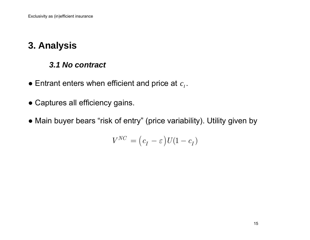# **3. Analysis**

#### *3.1 No contract*

- $\bullet$  Entrant enters when efficient and price at  $c_{_I}.$
- Captures all efficiency gains.
- Main buyer bears "risk of entry" (price variability). Utility given by

$$
V^{NC} = (c_I - \varepsilon)U(1 - c_I)
$$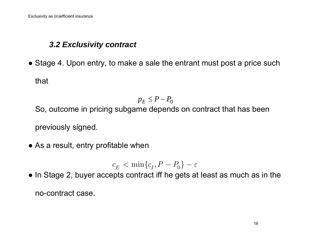### *3.2 Exclusivity contract*

• Stage 4. Upon entry, to make a sale the entrant must post a price such that

$$
p_E \le P - P_0
$$

So, outcome in pricing subgame depends on contract that has been previously signed.

• As a result, entry profitable when

$$
c_E<\min\{c_I,P-P_0\}-\varepsilon
$$

• In Stage 2, buyer accepts contract iff he gets at least as much as in the no-contract case.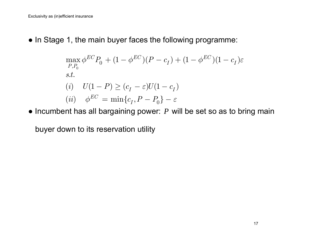• In Stage 1, the main buyer faces the following programme:

$$
\max_{P,P_0} \phi^{EC} P_0 + (1 - \phi^{EC})(P - c_I) + (1 - \phi^{EC})(1 - c_I)\varepsilon
$$
  
s.t.  
(i) 
$$
U(1 - P) \ge (c_I - \varepsilon)U(1 - c_I)
$$
  
(ii) 
$$
\phi^{EC} = \min\{c_I, P - P_0\} - \varepsilon
$$

● Incumbent has all bargaining power: *P* will be set so as to bring main

buyer down to its reservation utility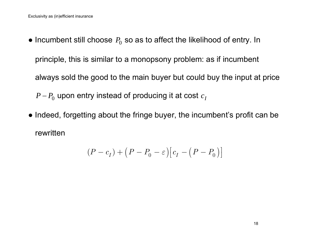- Incumbent still choose  $P_0$  so as to affect the likelihood of entry. In principle, this is similar to a monopsony problem: as if incumbent always sold the good to the main buyer but could buy the input at price  $P$ − $P_{0}$  upon entry instead of producing it at cost  $c\textsubscript{I}$
- Indeed, forgetting about the fringe buyer, the incumbent's profit can be rewritten

$$
(P - c_I) + (P - P_0 - \varepsilon)[c_I - (P - P_0)]
$$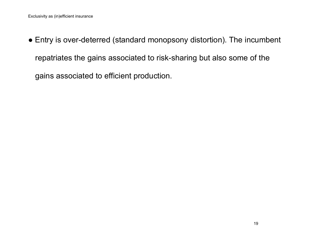● Entry is over-deterred (standard monopsony distortion). The incumbent repatriates the gains associated to risk-sharing but also some of the gains associated to efficient production.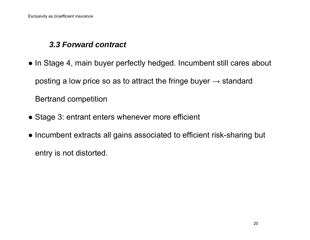### *3.3 Forward contract*

- In Stage 4, main buyer perfectly hedged. Incumbent still cares about posting a low price so as to attract the fringe buyer  $\rightarrow$  standard Bertrand competition
- Stage 3: entrant enters whenever more efficient
- Incumbent extracts all gains associated to efficient risk-sharing but

entry is not distorted.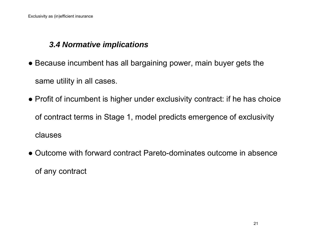### *3.4 Normative implications*

- Because incumbent has all bargaining power, main buyer gets the same utility in all cases.
- Profit of incumbent is higher under exclusivity contract: if he has choice of contract terms in Stage 1, model predicts emergence of exclusivity clauses
- Outcome with forward contract Pareto-dominates outcome in absence of any contract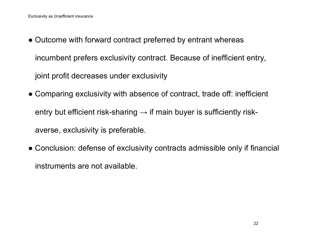- Outcome with forward contract preferred by entrant whereas incumbent prefers exclusivity contract. Because of inefficient entry, joint profit decreases under exclusivity
- Comparing exclusivity with absence of contract, trade off: inefficient entry but efficient risk-sharing  $\rightarrow$  if main buyer is sufficiently riskaverse, exclusivity is preferable.
- Conclusion: defense of exclusivity contracts admissible only if financial instruments are not available.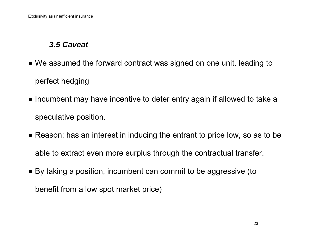### *3.5 Caveat*

- We assumed the forward contract was signed on one unit, leading to perfect hedging
- Incumbent may have incentive to deter entry again if allowed to take a speculative position.
- Reason: has an interest in inducing the entrant to price low, so as to be able to extract even more surplus through the contractual transfer.
- By taking a position, incumbent can commit to be aggressive (to benefit from a low spot market price)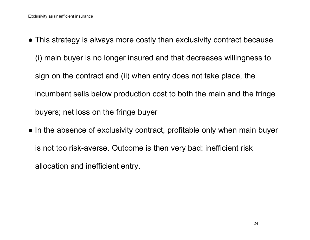- This strategy is always more costly than exclusivity contract because (i) main buyer is no longer insured and that decreases willingness to sign on the contract and (ii) when entry does not take place, the incumbent sells below production cost to both the main and the fringe buyers; net loss on the fringe buyer
- In the absence of exclusivity contract, profitable only when main buyer is not too risk-averse. Outcome is then very bad: inefficient risk allocation and inefficient entry.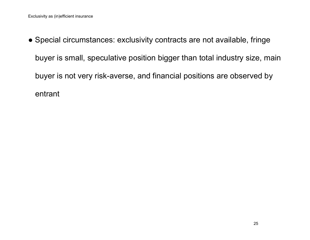● Special circumstances: exclusivity contracts are not available, fringe buyer is small, speculative position bigger than total industry size, main buyer is not very risk-averse, and financial positions are observed by entrant